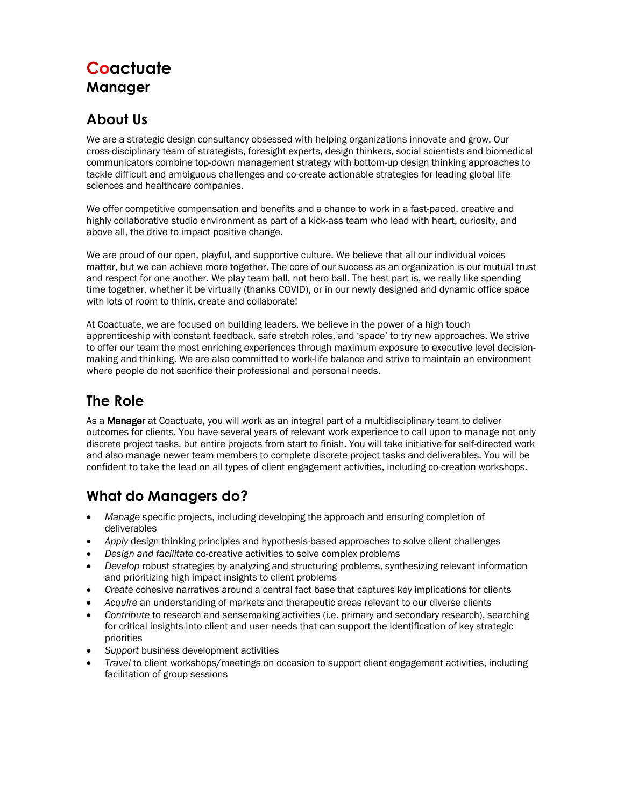# **Coactuate Manager**

### **About Us**

We are a strategic design consultancy obsessed with helping organizations innovate and grow. Our cross-disciplinary team of strategists, foresight experts, design thinkers, social scientists and biomedical communicators combine top-down management strategy with bottom-up design thinking approaches to tackle difficult and ambiguous challenges and co-create actionable strategies for leading global life sciences and healthcare companies.

We offer competitive compensation and benefits and a chance to work in a fast-paced, creative and highly collaborative studio environment as part of a kick-ass team who lead with heart, curiosity, and above all, the drive to impact positive change.

We are proud of our open, playful, and supportive culture. We believe that all our individual voices matter, but we can achieve more together. The core of our success as an organization is our mutual trust and respect for one another. We play team ball, not hero ball. The best part is, we really like spending time together, whether it be virtually (thanks COVID), or in our newly designed and dynamic office space with lots of room to think, create and collaborate!

At Coactuate, we are focused on building leaders. We believe in the power of a high touch apprenticeship with constant feedback, safe stretch roles, and 'space' to try new approaches. We strive to offer our team the most enriching experiences through maximum exposure to executive level decisionmaking and thinking. We are also committed to work-life balance and strive to maintain an environment where people do not sacrifice their professional and personal needs.

### **The Role**

As a Manager at Coactuate, you will work as an integral part of a multidisciplinary team to deliver outcomes for clients. You have several years of relevant work experience to call upon to manage not only discrete project tasks, but entire projects from start to finish. You will take initiative for self-directed work and also manage newer team members to complete discrete project tasks and deliverables. You will be confident to take the lead on all types of client engagement activities, including co-creation workshops.

## **What do Managers do?**

- *Manage* specific projects, including developing the approach and ensuring completion of deliverables
- *Apply* design thinking principles and hypothesis-based approaches to solve client challenges
- *Design and facilitate* co-creative activities to solve complex problems
- *Develop* robust strategies by analyzing and structuring problems, synthesizing relevant information and prioritizing high impact insights to client problems
- *Create* cohesive narratives around a central fact base that captures key implications for clients
- *Acquire* an understanding of markets and therapeutic areas relevant to our diverse clients
- *Contribute* to research and sensemaking activities (i.e. primary and secondary research), searching for critical insights into client and user needs that can support the identification of key strategic priorities
- *Support* business development activities
- *Travel* to client workshops/meetings on occasion to support client engagement activities, including facilitation of group sessions